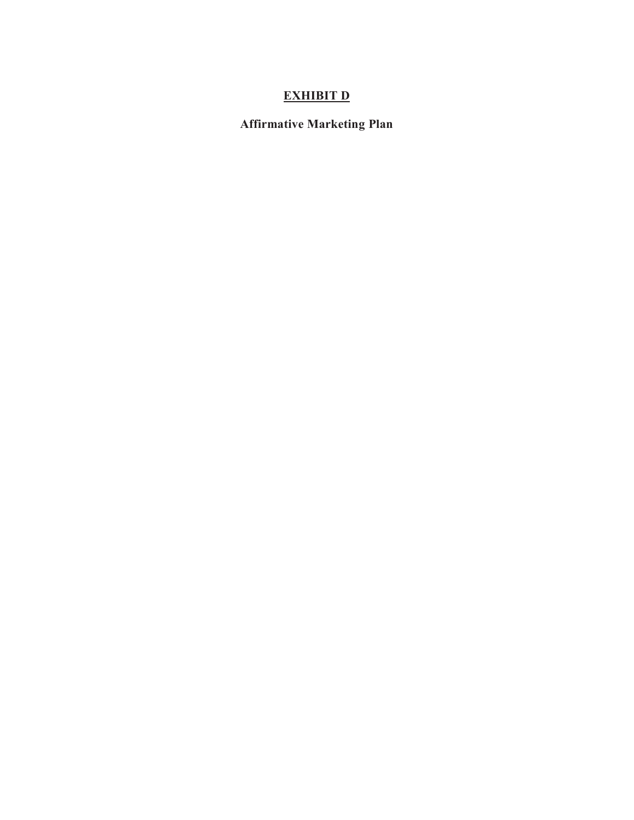# **EXHIBIT D**

**Affirmative Marketing Plan**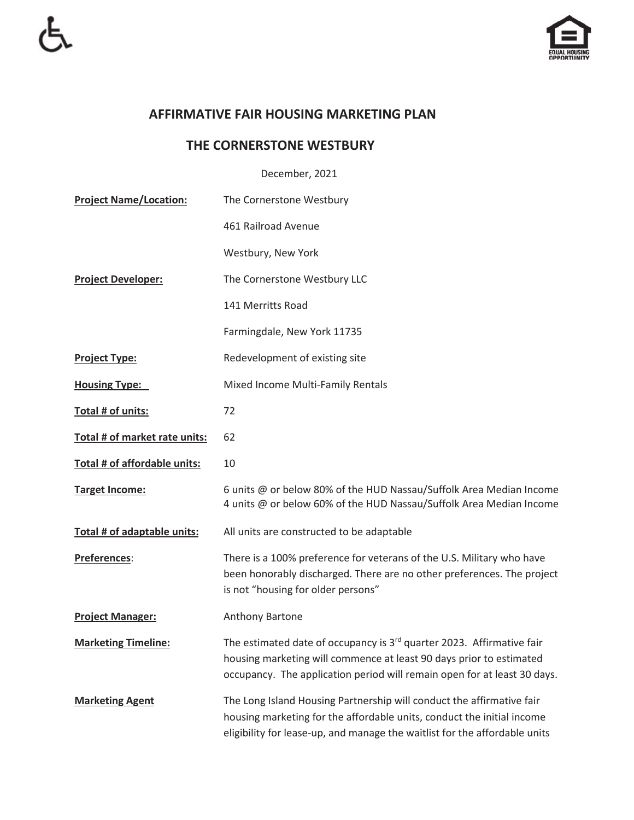

## **AFFIRMATIVE FAIR HOUSING MARKETING PLAN**

## **THE CORNERSTONE WESTBURY**

December, 2021

| <b>Project Name/Location:</b> | The Cornerstone Westbury                                                                                                                                                                                                             |
|-------------------------------|--------------------------------------------------------------------------------------------------------------------------------------------------------------------------------------------------------------------------------------|
|                               | 461 Railroad Avenue                                                                                                                                                                                                                  |
|                               | Westbury, New York                                                                                                                                                                                                                   |
| <b>Project Developer:</b>     | The Cornerstone Westbury LLC                                                                                                                                                                                                         |
|                               | 141 Merritts Road                                                                                                                                                                                                                    |
|                               | Farmingdale, New York 11735                                                                                                                                                                                                          |
| <b>Project Type:</b>          | Redevelopment of existing site                                                                                                                                                                                                       |
| <b>Housing Type:</b>          | Mixed Income Multi-Family Rentals                                                                                                                                                                                                    |
| Total # of units:             | 72                                                                                                                                                                                                                                   |
| Total # of market rate units: | 62                                                                                                                                                                                                                                   |
| Total # of affordable units:  | 10                                                                                                                                                                                                                                   |
| <b>Target Income:</b>         | 6 units @ or below 80% of the HUD Nassau/Suffolk Area Median Income<br>4 units @ or below 60% of the HUD Nassau/Suffolk Area Median Income                                                                                           |
| Total # of adaptable units:   | All units are constructed to be adaptable                                                                                                                                                                                            |
| <b>Preferences:</b>           | There is a 100% preference for veterans of the U.S. Military who have<br>been honorably discharged. There are no other preferences. The project<br>is not "housing for older persons"                                                |
| <b>Project Manager:</b>       | Anthony Bartone                                                                                                                                                                                                                      |
| <b>Marketing Timeline:</b>    | The estimated date of occupancy is 3 <sup>rd</sup> quarter 2023. Affirmative fair<br>housing marketing will commence at least 90 days prior to estimated<br>occupancy. The application period will remain open for at least 30 days. |
| <b>Marketing Agent</b>        | The Long Island Housing Partnership will conduct the affirmative fair<br>housing marketing for the affordable units, conduct the initial income<br>eligibility for lease-up, and manage the waitlist for the affordable units        |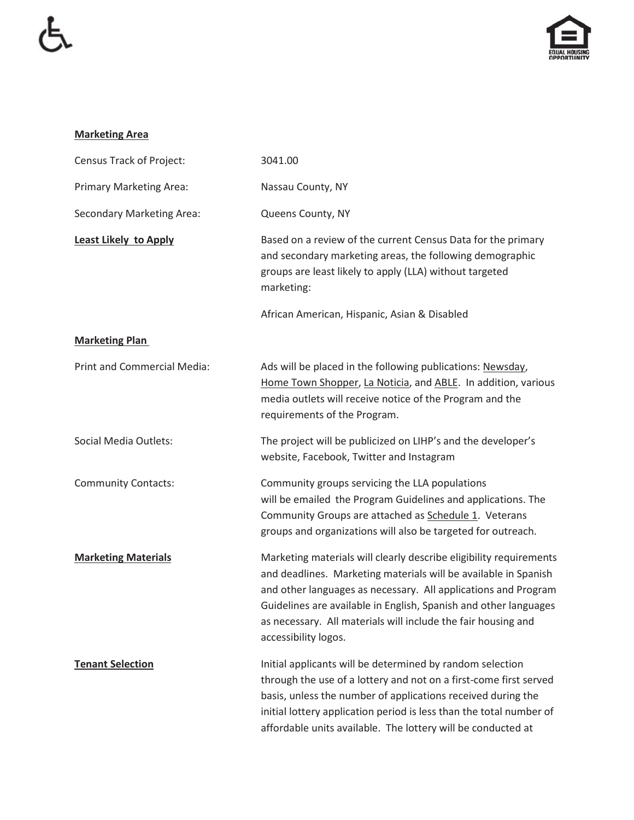

### **Marketing Area**

| Census Track of Project:           | 3041.00                                                                                                                                                                                                                                                                                                                                                              |
|------------------------------------|----------------------------------------------------------------------------------------------------------------------------------------------------------------------------------------------------------------------------------------------------------------------------------------------------------------------------------------------------------------------|
| <b>Primary Marketing Area:</b>     | Nassau County, NY                                                                                                                                                                                                                                                                                                                                                    |
| <b>Secondary Marketing Area:</b>   | Queens County, NY                                                                                                                                                                                                                                                                                                                                                    |
| <b>Least Likely to Apply</b>       | Based on a review of the current Census Data for the primary<br>and secondary marketing areas, the following demographic<br>groups are least likely to apply (LLA) without targeted<br>marketing:                                                                                                                                                                    |
|                                    | African American, Hispanic, Asian & Disabled                                                                                                                                                                                                                                                                                                                         |
| <b>Marketing Plan</b>              |                                                                                                                                                                                                                                                                                                                                                                      |
| <b>Print and Commercial Media:</b> | Ads will be placed in the following publications: Newsday,<br>Home Town Shopper, La Noticia, and ABLE. In addition, various<br>media outlets will receive notice of the Program and the<br>requirements of the Program.                                                                                                                                              |
| Social Media Outlets:              | The project will be publicized on LIHP's and the developer's<br>website, Facebook, Twitter and Instagram                                                                                                                                                                                                                                                             |
| <b>Community Contacts:</b>         | Community groups servicing the LLA populations<br>will be emailed the Program Guidelines and applications. The<br>Community Groups are attached as Schedule 1. Veterans<br>groups and organizations will also be targeted for outreach.                                                                                                                              |
| <b>Marketing Materials</b>         | Marketing materials will clearly describe eligibility requirements<br>and deadlines. Marketing materials will be available in Spanish<br>and other languages as necessary. All applications and Program<br>Guidelines are available in English, Spanish and other languages<br>as necessary. All materials will include the fair housing and<br>accessibility logos. |
| <b>Tenant Selection</b>            | Initial applicants will be determined by random selection<br>through the use of a lottery and not on a first-come first served<br>basis, unless the number of applications received during the<br>initial lottery application period is less than the total number of<br>affordable units available. The lottery will be conducted at                                |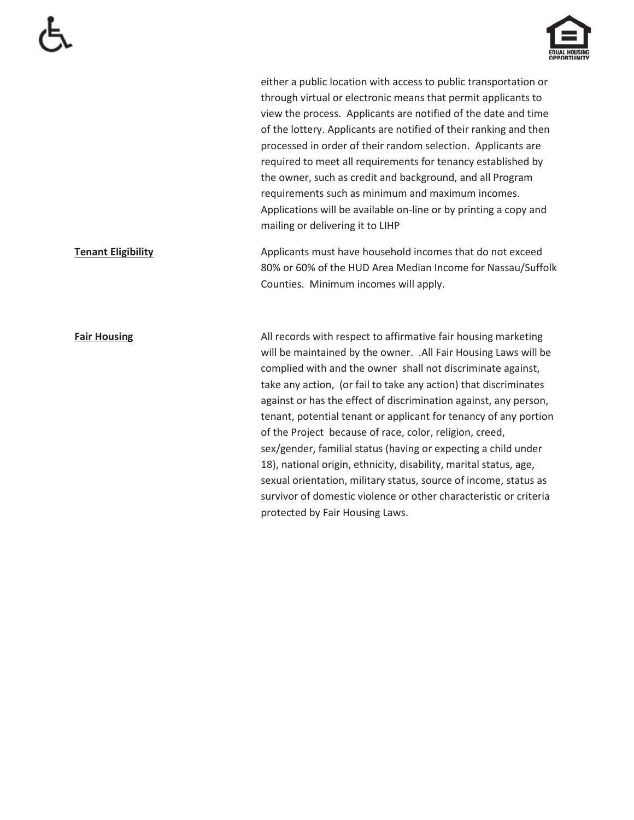

either a public location with access to public transportation or through virtual or electronic means that permit applicants to view the process. Applicants are notified of the date and time of the lottery. Applicants are notified of their ranking and then processed in order of their random selection. Applicants are required to meet all requirements for tenancy established by the owner, such as credit and background, and all Program requirements such as minimum and maximum incomes. Applications will be available on-line or by printing a copy and mailing or delivering it to LIHP

**Tenant Eligibility Applicants must have household incomes that do not exceed** 80% or 60% of the HUD Area Median Income for Nassau/Suffolk Counties. Minimum incomes will apply.

**Fair Housing All records with respect to affirmative fair housing marketing** will be maintained by the owner. .All Fair Housing Laws will be complied with and the owner shall not discriminate against, take any action, (or fail to take any action) that discriminates against or has the effect of discrimination against, any person, tenant, potential tenant or applicant for tenancy of any portion of the Project because of race, color, religion, creed, sex/gender, familial status (having or expecting a child under 18), national origin, ethnicity, disability, marital status, age, sexual orientation, military status, source of income, status as survivor of domestic violence or other characteristic or criteria protected by Fair Housing Laws.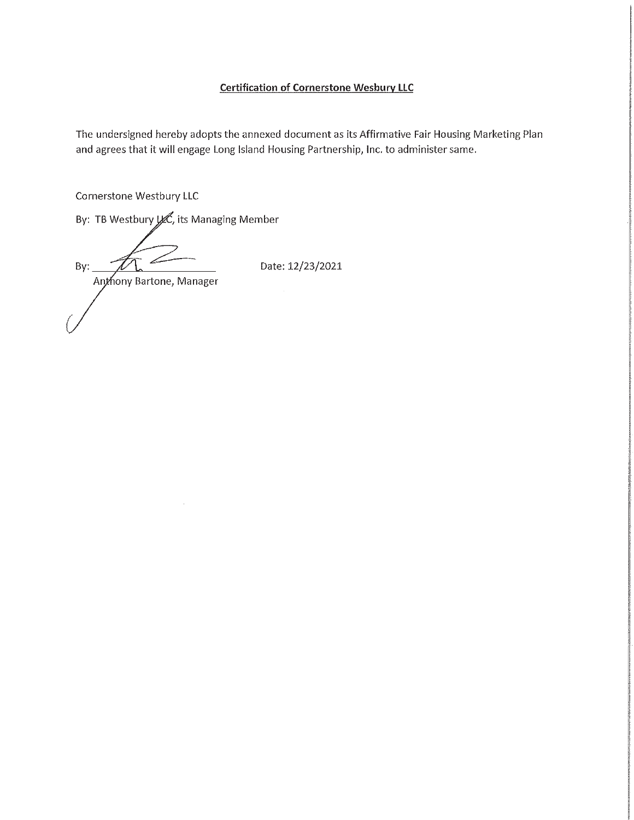### **Certification of Cornerstone Wesbury LLC**

The undersigned hereby adopts the annexed document as its Affirmative Fair Housing Marketing Plan and agrees that it will engage Long Island Housing Partnership, Inc. to administer same.

**Cornerstone Westbury LLC** 

By: TB Westbury L.C., its Managing Member

By: Anthony Bartone, Manager

Date: 12/23/2021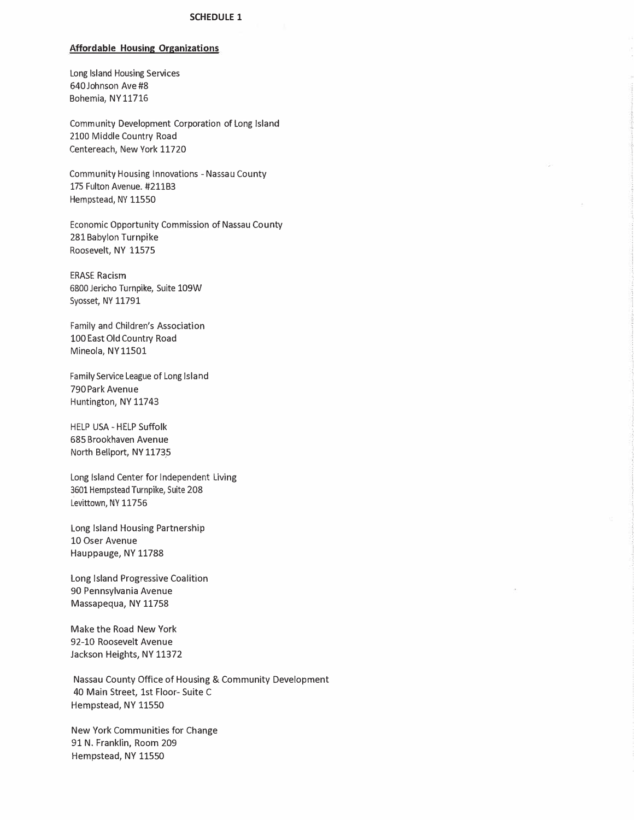#### **Affordable Housing Organizations**

Long Island Housing Services 640 Johnson Ave #8 Bohemia, NY 11716

Community Development Corporation of Long Island 2100 Middle Country Road Centereach, New York 11720

Community Housing Innovations - Nassau County 175 Fulton Avenue. #211B3 Hempstead, NY 11550

Economic Opportunity Commission of Nassau County 281 Babylon Turnpike Roosevelt, NY 11575

**ERASE Racism** 6800 Jericho Turnpike, Suite 109W Syosset, NY 11791

Family and Children's Association 100 East Old Country Road Mineola, NY11501

Family Service League of Long Island 790 Park Avenue Huntington, NY 11743

HELP USA - HELP Suffolk 685 Brookhaven Avenue North Bellport, NY 11735

Long Island Center for Independent Living 3601 Hempstead Turnpike, Suite 208 Levittown, NY 11756

Long Island Housing Partnership 10 Oser Avenue Hauppauge, NY 11788

Long Island Progressive Coalition 90 Pennsylvania Avenue Massapequa, NY 11758

Make the Road New York 92-10 Roosevelt Avenue Jackson Heights, NY 11372

Nassau County Office of Housing & Community Development 40 Main Street, 1st Floor-Suite C Hempstead, NY 11550

New York Communities for Change 91 N. Franklin, Room 209 Hempstead, NY 11550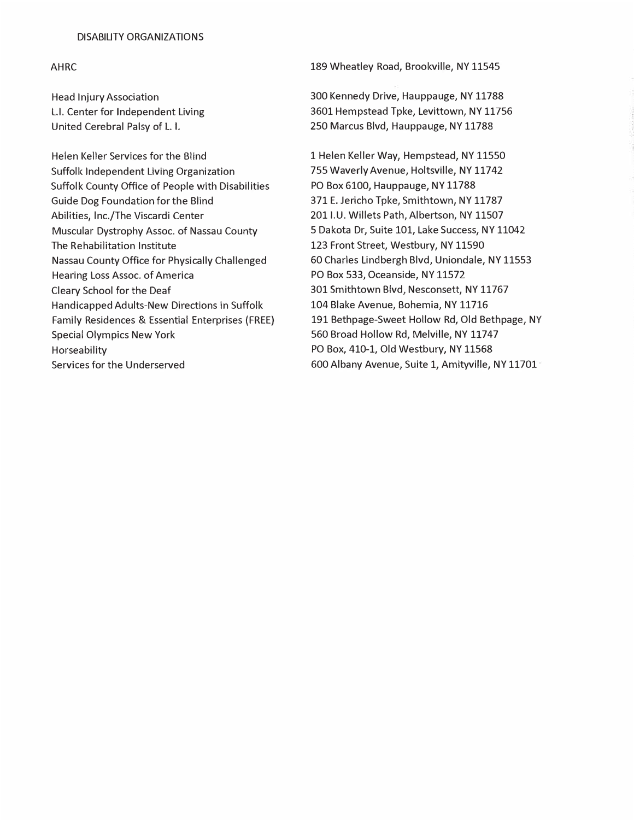#### DISABILITY ORGANIZATIONS

#### **AHRC**

**Head Injury Association** L.I. Center for Independent Living United Cerebral Palsy of L. I.

Helen Keller Services for the Blind Suffolk Independent Living Organization Suffolk County Office of People with Disabilities Guide Dog Foundation for the Blind Abilities, Inc./The Viscardi Center Muscular Dystrophy Assoc. of Nassau County The Rehabilitation Institute Nassau County Office for Physically Challenged Hearing Loss Assoc. of America Cleary School for the Deaf Handicapped Adults-New Directions in Suffolk Family Residences & Essential Enterprises (FREE) **Special Olympics New York** Horseability Services for the Underserved

189 Wheatley Road, Brookville, NY 11545

300 Kennedy Drive, Hauppauge, NY 11788 3601 Hempstead Tpke, Levittown, NY 11756 250 Marcus Blvd, Hauppauge, NY 11788

1 Helen Keller Way, Hempstead, NY 11550 755 Waverly Avenue, Holtsville, NY 11742 PO Box 6100, Hauppauge, NY 11788 371 E. Jericho Tpke, Smithtown, NY 11787 201 I.U. Willets Path, Albertson, NY 11507 5 Dakota Dr, Suite 101, Lake Success, NY 11042 123 Front Street, Westbury, NY 11590 60 Charles Lindbergh Blvd, Uniondale, NY 11553 PO Box 533, Oceanside, NY 11572 301 Smithtown Blvd, Nesconsett, NY 11767 104 Blake Avenue, Bohemia, NY 11716 191 Bethpage-Sweet Hollow Rd, Old Bethpage, NY 560 Broad Hollow Rd, Melville, NY 11747 PO Box, 410-1, Old Westbury, NY 11568 600 Albany Avenue, Suite 1, Amityville, NY 11701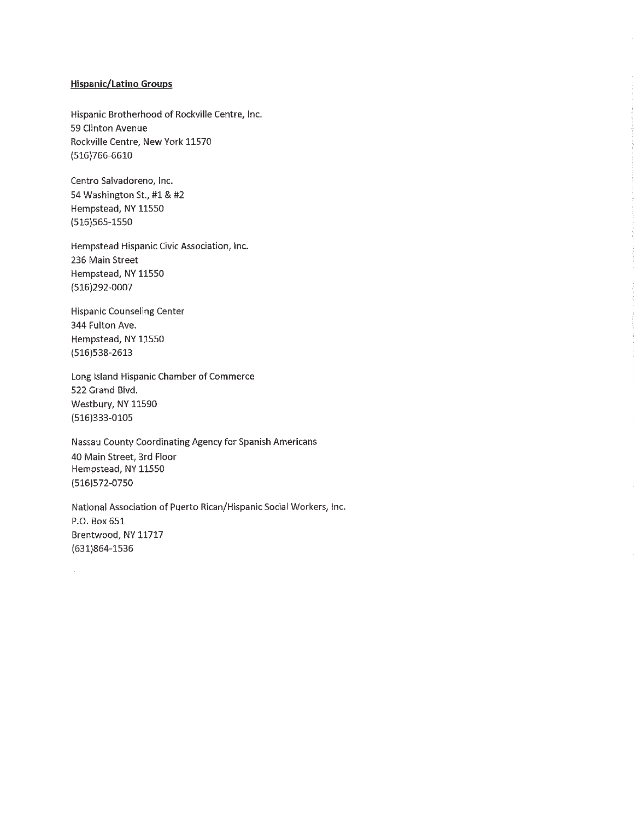#### **Hispanic/Latino Groups**

Hispanic Brotherhood of Rockville Centre, Inc. 59 Clinton Avenue Rockville Centre, New York 11570  $(516)766-6610$ 

Centro Salvadoreno, Inc. 54 Washington St., #1 & #2 Hempstead, NY 11550 (516)565-1550

Hempstead Hispanic Civic Association, Inc. 236 Main Street Hempstead, NY 11550 (516)292-0007

**Hispanic Counseling Center** 344 Fulton Ave. Hempstead, NY 11550 (516)538-2613

Long Island Hispanic Chamber of Commerce 522 Grand Blvd. Westbury, NY 11590 (516)333-0105

Nassau County Coordinating Agency for Spanish Americans 40 Main Street, 3rd Floor Hempstead, NY 11550 (516) 572-0750

National Association of Puerto Rican/Hispanic Social Workers, Inc. P.O. Box 651 Brentwood, NY 11717  $(631)864 - 1536$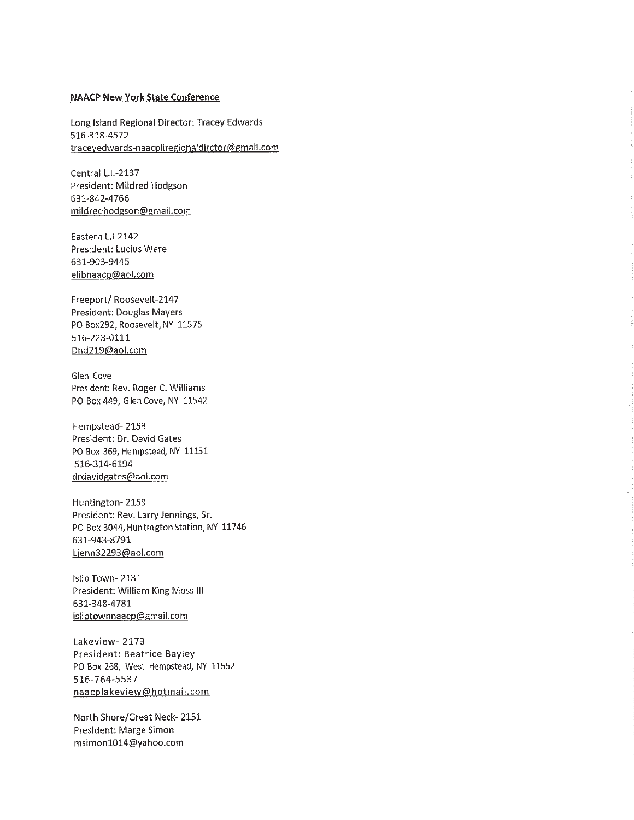#### **NAACP New York State Conference**

Long Island Regional Director: Tracey Edwards 516-318-4572 traceyedwards-naacpliregionaldirctor@gmail.com

Central L.I.-2137 President: Mildred Hodgson 631-842-4766 mildredhodgson@gmail.com

Eastern L.I-2142 President: Lucius Ware 631-903-9445 elibnaacp@aol.com

Freeport/Roosevelt-2147 President: Douglas Mayers PO Box292, Roosevelt, NY 11575 516-223-0111 Dnd219@aol.com

Glen Cove President: Rev. Roger C. Williams PO Box 449, Glen Cove, NY 11542

Hempstead-2153 President: Dr. David Gates PO Box 369, Hempstead, NY 11151 516-314-6194 drdavidgates@aol.com

Huntington-2159 President: Rev. Larry Jennings, Sr. PO Box 3044, Huntington Station, NY 11746 631-943-8791 Ljenn32293@aol.com

Islip Town-2131 President: William King Moss III 631-348-4781 isliptownnaacp@gmail.com

Lakeview-2173 President: Beatrice Bayley PO Box 268, West Hempstead, NY 11552 516-764-5537 naacplakeview@hotmail.com

North Shore/Great Neck-2151 President: Marge Simon msimon1014@yahoo.com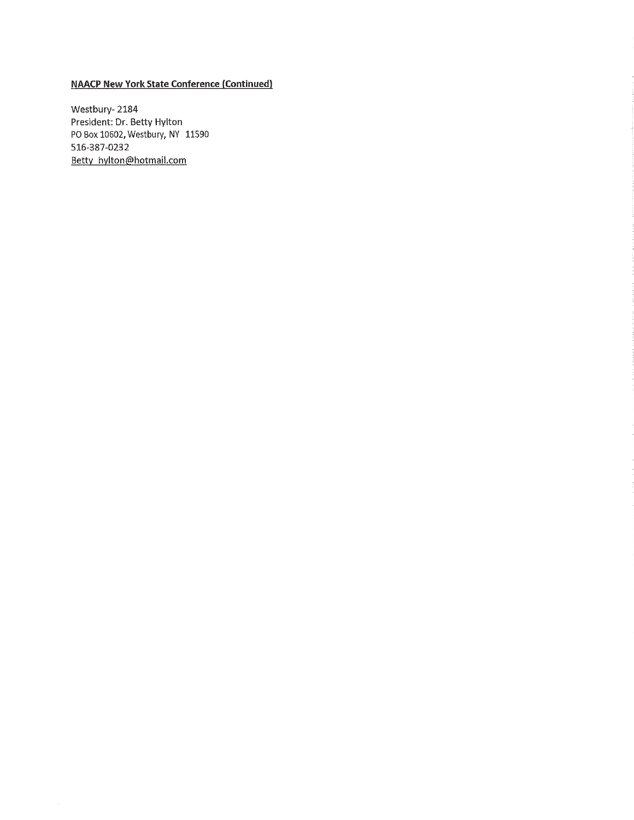#### **NAACP New York State Conference (Continued)**

Westbury-2184 President: Dr. Betty Hylton PO Box 10602, Westbury, NY 11590 516-387-0232 Betty hylton@hotmail.com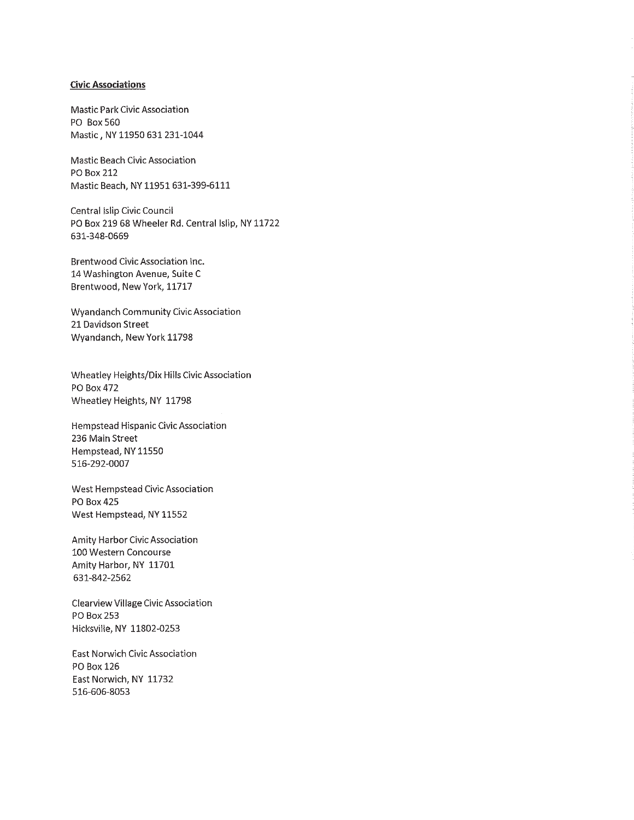#### **Civic Associations**

**Mastic Park Civic Association** PO Box 560 Mastic, NY 11950 631 231-1044

Mastic Beach Civic Association **PO Box 212** Mastic Beach, NY 11951 631-399-6111

Central Islip Civic Council PO Box 219 68 Wheeler Rd. Central Islip, NY 11722 631-348-0669

Brentwood Civic Association Inc. 14 Washington Avenue, Suite C Brentwood, New York, 11717

**Wyandanch Community Civic Association** 21 Davidson Street Wyandanch, New York 11798

Wheatley Heights/Dix Hills Civic Association PO Box 472 Wheatley Heights, NY 11798

Hempstead Hispanic Civic Association 236 Main Street Hempstead, NY 11550 516-292-0007

West Hempstead Civic Association **PO Box 425** West Hempstead, NY 11552

Amity Harbor Civic Association 100 Western Concourse Amity Harbor, NY 11701 631-842-2562

**Clearview Village Civic Association** PO Box 253 Hicksville, NY 11802-0253

**East Norwich Civic Association** PO Box 126 East Norwich, NY 11732 516-606-8053